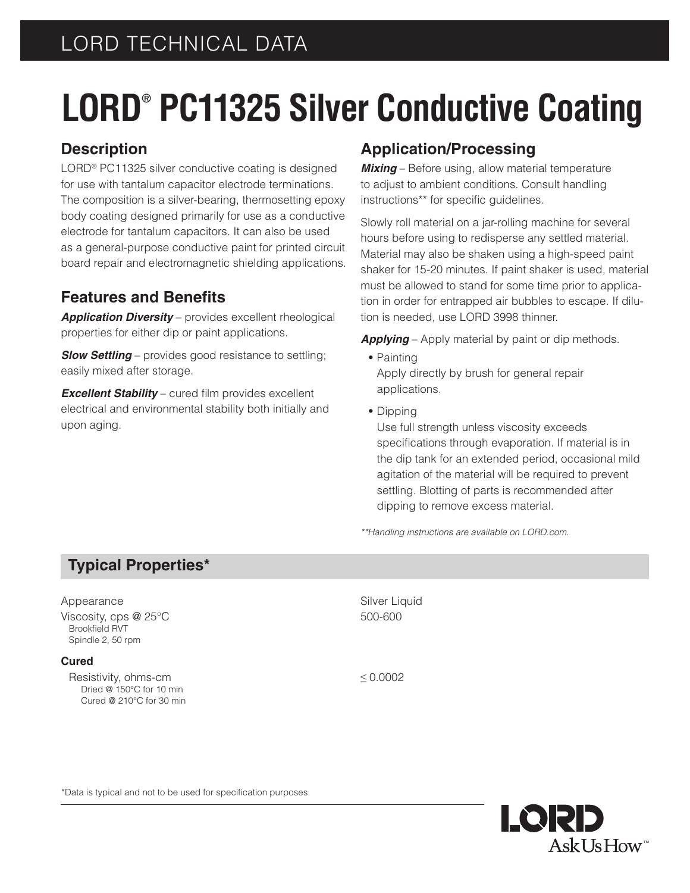# LORD TECHNICAL DATA

# **LORD® PC11325 Silver Conductive Coating**

## **Description**

LORD® PC11325 silver conductive coating is designed for use with tantalum capacitor electrode terminations. The composition is a silver-bearing, thermosetting epoxy body coating designed primarily for use as a conductive electrode for tantalum capacitors. It can also be used as a general-purpose conductive paint for printed circuit board repair and electromagnetic shielding applications.

## **Features and Benefits**

*Application Diversity* – provides excellent rheological properties for either dip or paint applications.

*Slow Settling* – provides good resistance to settling; easily mixed after storage.

*Excellent Stability* – cured film provides excellent electrical and environmental stability both initially and upon aging.

## **Application/Processing**

*Mixing* – Before using, allow material temperature to adjust to ambient conditions. Consult handling instructions\*\* for specific guidelines.

Slowly roll material on a jar-rolling machine for several hours before using to redisperse any settled material. Material may also be shaken using a high-speed paint shaker for 15-20 minutes. If paint shaker is used, material must be allowed to stand for some time prior to application in order for entrapped air bubbles to escape. If dilution is needed, use LORD 3998 thinner.

*Applying* – Apply material by paint or dip methods.

- **•** Painting Apply directly by brush for general repair applications.
- **•** Dipping

Use full strength unless viscosity exceeds specifications through evaporation. If material is in the dip tank for an extended period, occasional mild agitation of the material will be required to prevent settling. Blotting of parts is recommended after dipping to remove excess material.

*\*\*Handling instructions are available on LORD.com.*

## **Typical Properties\***

#### Appearance Silver Liquid

Viscosity, cps  $@25°C$  500-600 Brookfield RVT Spindle 2, 50 rpm

#### **Cured**

Resistivity, ohms-cm  $\leq 0.0002$  Dried @ 150°C for 10 min Cured @ 210°C for 30 min



\*Data is typical and not to be used for specification purposes.